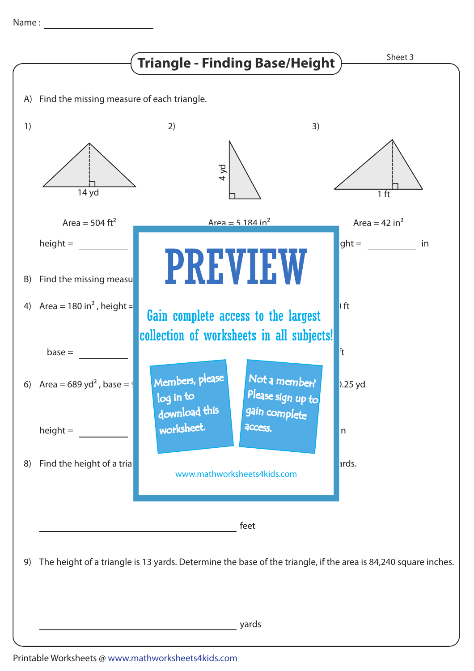